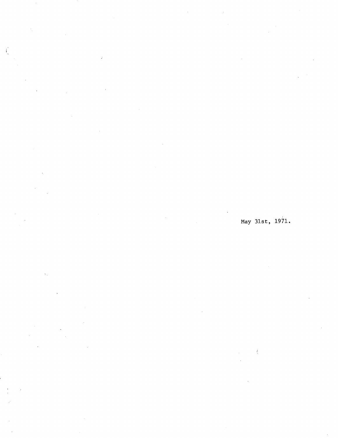$\int_{-}^{x}$ J.

 $\mathcal{A}$ 

May 31st, 1971.

 $\bar{f}_\perp$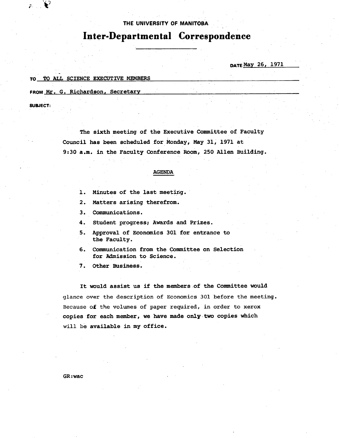**THE UNIVERSITY OF MANITOBA.** 

# **InterDepartmental Correspondence**

**DATEMaY 26, 1971** 

### **TO TO ALL SCIENCE EXECUTIVE MEMBERS**

**FROM Mr, G. Richardson, Secretary** 

**SUBJECT:** 

**The sixth meeting of the Executive Committee of Faculty Council has been scheduled for Monday, May 31, 1971 at 9:30 a.m. in the Faculty Conference Room, 250 Allen Building.** 

## **AGENDA**

- **Minutes of the last meetirg.**
- $2.$ **Matters arising therefrom.**
- $3.$ **Communications.**
- 4. **Student progress; Awards and Prizes.**
- 5. **Approval of Economics 301 for entrance to the Faculty.**
- 6. **Communication from the Committee on Selection for Mmission to Science.**

7. **Other Business.** 

**It would assist us if the members of the Committee would glance over the description of Economics 301 before the meeting. Because of the volumes of paper required, in order to xerox copies for each member, we have made onlytwo copies which will be available in my office.** 

**GR:wac**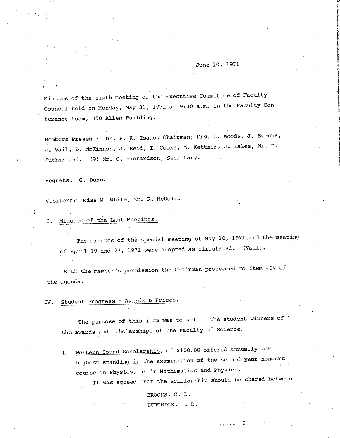# June 10, 1971

Minutes of the sixth meeting of the Executive Committee of Faculty Council held on Monday, May 31, 1971 at 9:30 a.m. in the Faculty Conference Room, 250 Allen Building.

Members Present: Dr. P. K. Isaac, Chairman; Drs. G. Woods, J. Svenne, J. Vail, D. McKinnon, J. Reid, I. Cooke, M. Kettner, J. Eales, Mr. D. Sutherland. (9) Mr. G. Richardson, Secretary.

Regrets: G. Dunn.

Visitors: Miss M. White, Mr. R. McDole.

# I. Minutes of the Last Meetings.

The minutes of the special meeting of May 10, 1971 and the meeting of April 19 and 23, 1971 were adopted as circulated. (Vail).

With the member's permission the Chairman proceeded to Item #IV of the agenda.

IV. Student Progress - Awards & Prizes.

The purpose of this item was to select the student winners of the awards and scholarships of the Faculty of Science.

1. Western Sound Scholarship, of \$100.00 offered annually for highest standing in the examination of the second year honours course in Physics, or in Mathematics and Physics.

It was agreed that the scholarship should be shared between:

 $\mathfrak{p}$ 

 $\overline{a}$   $\overline{a}$   $\overline{a}$   $\overline{a}$   $\overline{a}$ 

BROOKS, C. D. BURTNICK, L. D.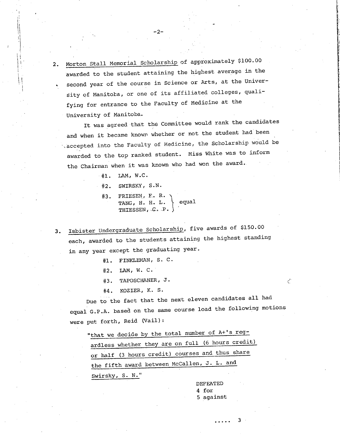2. Morton Stall Memorial Scholarship of approximately \$100.00 awarded to the student attaining the highest average in the second year of the course in Science or Arts, at the Univerity of Manitoba, or one of its affiliated colleges, qualifying for entrance to the Faculty of Medicine at the University of Manitoba.

-2-

It was agreed that the Committee would rank the candidates and when it became known whether or not the student had been accepted into the Faculty of Medicine, the Scholarship would be awarded to the top ranked student. Miss White was to inform the Chairman when it was known who had won the award.

 $#1.$  LAM, W.C.

SWIRSKY, S.N.

#3. FRIESEN, F. R. TANG, H. H. L.  $\setminus$  equal THIESSEN,  $C_{\star}$  P.  $\}$ 

3. Isbister Undergraduate Scholarship, five awards of \$150.00 each, awarded to the students attaining the highest standing in any year except the graduating year.

#1. FINKLEMAN, S. C.

LAM, W. C.

TAPOSCHANER, J.  $#3.$ 

KOZIER, K. S.

Due to the fact that the next eleven candidates all had equal G.P.A. based on the same course load the following motions were put forth, Reid (Vail):

"that we decide by the total number of A+'s regardless whether they are on full (6 hours credit) or half (3 hours credit) courses and thus share the fifth award between McCallen, J. L. and Swirsky, S. N."

> DEFEATED 4 for 5 against

> > 3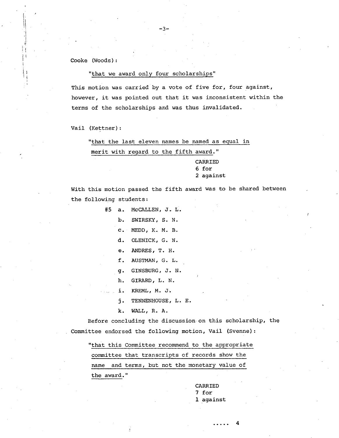Cooke (Woods):

# "that we award only four scholarships"

-3-

This motion was carried by a vote of five for, four against, however, it was pointed out that it was inconsistent within the terms of the scholarships and was thus invalidated.

Vail (Kettner):

"that the last eleven names be named as equal in

merit with regard to the fifth award."

CARRIED 6 for 2 against

With this motion passed the fifth award was to be shared between the following students:

#5 a. McCALLEN, J. L.

- b. SWIRSKY, S. N.
- C. MEDD, K. M. B.
- d. OLENICK, G. N.
- ANDRES, T. H.
- AUSTMAN, G. L.
- GINSBURG, J. N.
- GIRARD, L. N.
- KREML, M. J. i.
- TENNENHOUSE, L. E. j.
- k. WALL, R. A.

Before concluding the discussion-on this scholarship, the Committee endorsed the following motion, Vail (Svenne):

"that this Committee recommend to the appropriate committee that transcripts of records show the name and terms, but not the monetary value of the award."

> CARRIED 7 for 1 against

> > 4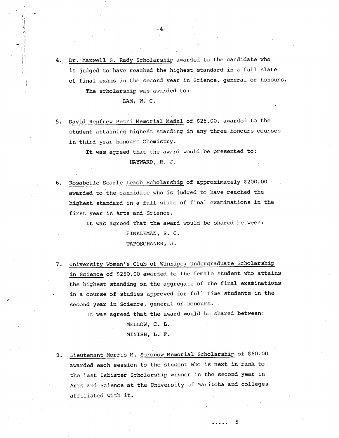Dr. Maxwell S. Rady Scholarship awarded to the candidate who is judged to have reached the highest standard in a full slate of final exams in the second year in Science, general or honours. The scholarship was awarded to:

 $-4-$ 

LAM, W. C.

David Renfrew Petri Memorial Medal of \$25.00, awarded to the student attaining highest standing in any three honours courses **in** third year honours Chemistry.

> It was agreed that the award would be presented to: HAYWARD, R. J.

Rosabelle Searle Leach Scholarship of approximately \$200.00 awarded to the candidate who is judged to have reached the highest standard in a full slate of final examinations in the first year in Arts and Science.

> It was agreed that the award would be shared between: FINKLEMAN, S. C.

> > TAPOSCHANER, J.

University Women's Club of Winnipeg Undergraduate Scholarship in Science of \$250.00 awarded to the female student who attains the highest standing on the aggregate of the final examinations in a course of studies approved for full time students in the second year in Science, general or honours.

It was agreed that the award would be shared between:

MELLOW, C. L.

MINISH, L. F.

8. Lieutenant Morris M. Soronow Memorial Scholarship of \$60.00 awarded each session to the student who is next in rank to the last Isbister Scholarship winner in the second year in Arts and Science at the University of Manitoba and colleges affiliated with it.

5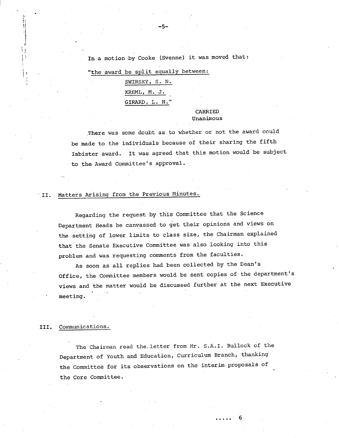In a motion by Cooke (Svenne) it was moved that:

-5-

"the award be split equally between:

SWIRSKY, S. N. KREML, M. J. GIRARD, L. N.

# CARRIED Unanimous

There was some doubt as to whether or not the award could be made to the individuals because of their sharing the fifth Isbister award. It was agreed that this motion would be subject to the Award Committee's approval.

### Matters Arising from the Previous Minutes.  $\overline{\phantom{a}}$  II.

Regarding the request by this Committee that the Science Department Heads be canvassed to get their opinions and views on the setting of lower limits to class size, the Chairman explained that the Senate Executive Committee was also looking into this problem and was requesting comments from the faculties.

As soon as all replies had been collected by the Dean's Office, the Committee members would be sent copies of the department's views and the matter would be discussed further at the next Executive meeting.

#### Communications. III.

The Chairman read the. letter from Mr. S.A.I. Bullock of the Department of Youth and Education, Curriculum Branch, thanking the Committee for its observations on the interim proposals of the Core Committee.